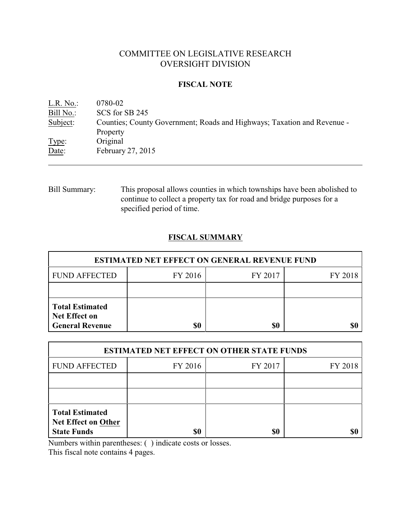# COMMITTEE ON LEGISLATIVE RESEARCH OVERSIGHT DIVISION

## **FISCAL NOTE**

| L.R. No.: | 0780-02                                                                 |
|-----------|-------------------------------------------------------------------------|
| Bill No.: | SCS for SB 245                                                          |
| Subject:  | Counties; County Government; Roads and Highways; Taxation and Revenue - |
|           | Property                                                                |
| Type:     | Original                                                                |
| Date:     | February 27, 2015                                                       |
|           |                                                                         |

Bill Summary: This proposal allows counties in which townships have been abolished to continue to collect a property tax for road and bridge purposes for a specified period of time.

# **FISCAL SUMMARY**

| <b>ESTIMATED NET EFFECT ON GENERAL REVENUE FUND</b>                      |           |         |         |  |
|--------------------------------------------------------------------------|-----------|---------|---------|--|
| <b>FUND AFFECTED</b>                                                     | FY 2016   | FY 2017 | FY 2018 |  |
|                                                                          |           |         |         |  |
| <b>Total Estimated</b><br><b>Net Effect on</b><br><b>General Revenue</b> | <b>SO</b> | \$0     |         |  |

| <b>ESTIMATED NET EFFECT ON OTHER STATE FUNDS</b>                           |         |         |         |  |
|----------------------------------------------------------------------------|---------|---------|---------|--|
| <b>FUND AFFECTED</b>                                                       | FY 2016 | FY 2017 | FY 2018 |  |
|                                                                            |         |         |         |  |
|                                                                            |         |         |         |  |
| <b>Total Estimated</b><br><b>Net Effect on Other</b><br><b>State Funds</b> | \$0     | \$0     |         |  |

Numbers within parentheses: ( ) indicate costs or losses.

This fiscal note contains 4 pages.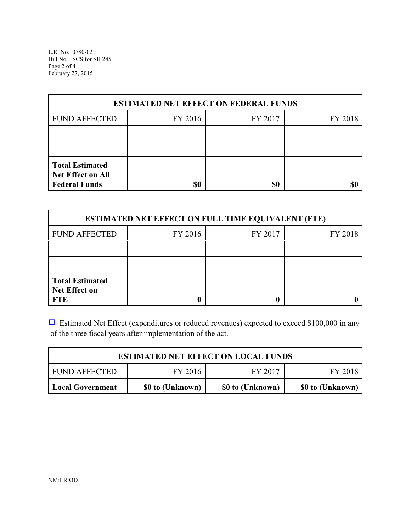L.R. No. 0780-02 Bill No. SCS for SB 245 Page 2 of 4 February 27, 2015

| <b>ESTIMATED NET EFFECT ON FEDERAL FUNDS</b>                        |         |         |         |  |
|---------------------------------------------------------------------|---------|---------|---------|--|
| <b>FUND AFFECTED</b>                                                | FY 2016 | FY 2017 | FY 2018 |  |
|                                                                     |         |         |         |  |
|                                                                     |         |         |         |  |
| <b>Total Estimated</b><br>Net Effect on All<br><b>Federal Funds</b> | \$0     | \$0     | \$C     |  |

| <b>ESTIMATED NET EFFECT ON FULL TIME EQUIVALENT (FTE)</b>    |         |         |         |  |
|--------------------------------------------------------------|---------|---------|---------|--|
| <b>FUND AFFECTED</b>                                         | FY 2016 | FY 2017 | FY 2018 |  |
|                                                              |         |         |         |  |
|                                                              |         |         |         |  |
| <b>Total Estimated</b><br><b>Net Effect on</b><br><b>FTE</b> |         |         |         |  |

 $\Box$  Estimated Net Effect (expenditures or reduced revenues) expected to exceed \$100,000 in any of the three fiscal years after implementation of the act.

| <b>ESTIMATED NET EFFECT ON LOCAL FUNDS</b> |                  |                  |                  |  |
|--------------------------------------------|------------------|------------------|------------------|--|
| <b>FUND AFFECTED</b>                       | FY 2016          | FY 2017          | FY 2018          |  |
| Local Government                           | \$0 to (Unknown) | \$0 to (Unknown) | \$0 to (Unknown) |  |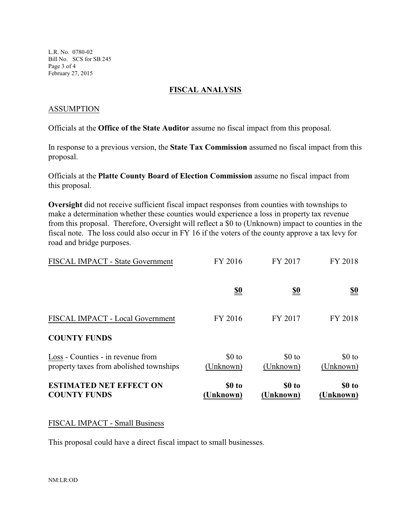L.R. No. 0780-02 Bill No. SCS for SB 245 Page 3 of 4 February 27, 2015

### **FISCAL ANALYSIS**

### ASSUMPTION

Officials at the **Office of the State Auditor** assume no fiscal impact from this proposal.

In response to a previous version, the **State Tax Commission** assumed no fiscal impact from this proposal.

Officials at the **Platte County Board of Election Commission** assume no fiscal impact from this proposal.

**Oversight** did not receive sufficient fiscal impact responses from counties with townships to make a determination whether these counties would experience a loss in property tax revenue from this proposal. Therefore, Oversight will reflect a \$0 to (Unknown) impact to counties in the fiscal note. The loss could also occur in FY 16 if the voters of the county approve a tax levy for road and bridge purposes.

| <b>ESTIMATED NET EFFECT ON</b><br><b>COUNTY FUNDS</b>                        | \$0 to<br>Unknown)            | \$0 to<br><b>Unknown</b> ) | \$0 to<br>(Unknown)  |
|------------------------------------------------------------------------------|-------------------------------|----------------------------|----------------------|
| Loss - Counties - in revenue from<br>property taxes from abolished townships | $$0$ to<br>(Unknown)          | $$0$ to<br>(Unknown)       | $$0$ to<br>(Unknown) |
| <b>COUNTY FUNDS</b>                                                          |                               |                            |                      |
| FISCAL IMPACT - Local Government                                             | FY 2016                       | FY 2017                    | FY 2018              |
|                                                                              | $\underline{\underline{\$0}}$ | <u>\$0</u>                 | <u>\$0</u>           |
| FISCAL IMPACT - State Government                                             | FY 2016                       | FY 2017                    | FY 2018              |

#### FISCAL IMPACT - Small Business

This proposal could have a direct fiscal impact to small businesses.